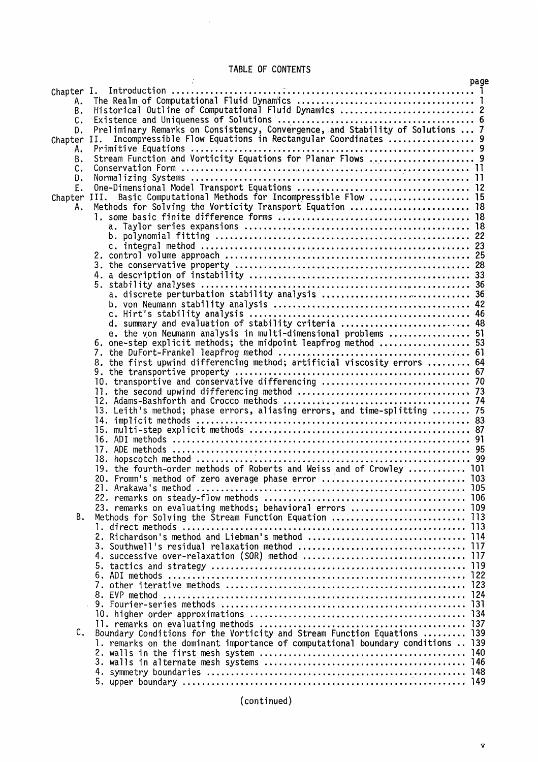## TABLE OF CONTENTS

 $\mathcal{A}^{\mathcal{A}}$ 

|              |                                                                                 | page |
|--------------|---------------------------------------------------------------------------------|------|
| Chapter I.   |                                                                                 |      |
| Α.           |                                                                                 |      |
| В.           | Historical Outline of Computational Fluid Dynamics  2                           |      |
| C.           |                                                                                 |      |
| D.           | Preliminary Remarks on Consistency, Convergence, and Stability of Solutions  7  |      |
| Chapter      | Incompressible Flow Equations in Rectangular Coordinates  9<br>II.              |      |
|              |                                                                                 |      |
| А.           |                                                                                 |      |
| Β.           | Stream Function and Vorticity Equations for Planar Flows  9                     |      |
| C.           |                                                                                 |      |
| D.           |                                                                                 |      |
| Ε.           |                                                                                 |      |
| Chapter III. | Basic Computational Methods for Incompressible Flow  15                         |      |
| Α.           | Methods for Solving the Vorticity Transport Equation  18                        |      |
|              |                                                                                 |      |
|              |                                                                                 |      |
|              |                                                                                 |      |
|              |                                                                                 |      |
|              |                                                                                 |      |
|              |                                                                                 |      |
|              |                                                                                 |      |
|              |                                                                                 |      |
|              |                                                                                 |      |
|              |                                                                                 |      |
|              |                                                                                 |      |
|              |                                                                                 |      |
|              | d. summary and evaluation of stability criteria  48                             |      |
|              | e. the von Neumann analysis in multi-dimensional problems  51                   |      |
|              | 6. one-step explicit methods; the midpoint leapfrog method  53                  |      |
|              |                                                                                 |      |
|              |                                                                                 |      |
|              |                                                                                 |      |
|              | 10. transportive and conservative differencing  70                              |      |
|              |                                                                                 |      |
|              |                                                                                 |      |
|              |                                                                                 |      |
|              | 13. Leith's method; phase errors, aliasing errors, and time-splitting  75       |      |
|              |                                                                                 |      |
|              |                                                                                 |      |
|              |                                                                                 |      |
|              |                                                                                 |      |
|              |                                                                                 |      |
|              | 19. the fourth-order methods of Roberts and Weiss and of Crowley  101           |      |
|              | 20. Fromm's method of zero average phase error  103                             |      |
|              |                                                                                 |      |
|              |                                                                                 |      |
|              | 23. remarks on evaluating methods; behavioral errors  109                       |      |
| В.           | Methods for Solving the Stream Function Equation  113                           |      |
|              |                                                                                 |      |
|              |                                                                                 |      |
|              |                                                                                 |      |
|              |                                                                                 |      |
|              |                                                                                 |      |
|              |                                                                                 |      |
|              |                                                                                 |      |
|              |                                                                                 |      |
|              |                                                                                 |      |
|              |                                                                                 | -131 |
|              |                                                                                 |      |
|              |                                                                                 |      |
| c.           | Boundary Conditions for the Vorticity and Stream Function Equations  139        |      |
|              | 1. remarks on the dominant importance of computational boundary conditions  139 |      |
|              |                                                                                 | 140  |
|              |                                                                                 |      |
|              |                                                                                 |      |
|              |                                                                                 |      |
|              |                                                                                 |      |

(continued)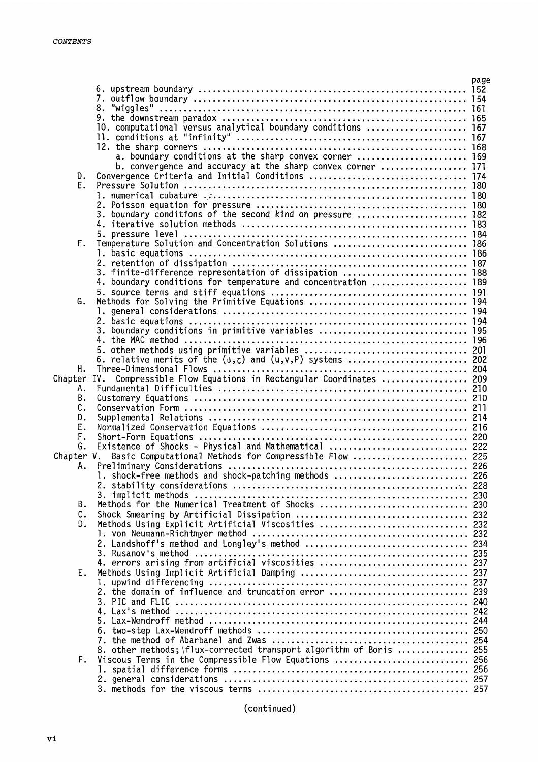|             |                                                                     | page |
|-------------|---------------------------------------------------------------------|------|
|             |                                                                     |      |
|             | 7.                                                                  |      |
|             |                                                                     |      |
|             |                                                                     |      |
|             | 10. computational versus analytical boundary conditions  167        |      |
|             |                                                                     |      |
|             |                                                                     |      |
|             |                                                                     |      |
|             | b. convergence and accuracy at the sharp convex corner  171         |      |
| D.          |                                                                     |      |
| Е.          |                                                                     |      |
|             |                                                                     |      |
|             |                                                                     |      |
|             | 3. boundary conditions of the second kind on pressure  182          |      |
|             |                                                                     |      |
|             |                                                                     |      |
|             | Temperature Solution and Concentration Solutions  186               |      |
| F.          |                                                                     |      |
|             |                                                                     |      |
|             |                                                                     |      |
|             | 3. finite-difference representation of dissipation  188             |      |
|             | 4. boundary conditions for temperature and concentration  189       |      |
|             |                                                                     |      |
| G.          |                                                                     |      |
|             |                                                                     |      |
|             |                                                                     |      |
|             |                                                                     |      |
|             |                                                                     |      |
|             |                                                                     |      |
|             |                                                                     |      |
| н.          |                                                                     |      |
| Chapter IV. | Compressible Flow Equations in Rectangular Coordinates  209         |      |
|             |                                                                     |      |
| Α.          |                                                                     |      |
| В.          |                                                                     |      |
| С.          |                                                                     |      |
| D.          |                                                                     |      |
| Ε.          |                                                                     |      |
| F.          |                                                                     |      |
| G.          | Existence of Shocks - Physical and Mathematical  222                |      |
| Chapter V.  | Basic Computational Methods for Compressible Flow  225              |      |
| Α.          |                                                                     |      |
|             |                                                                     |      |
|             |                                                                     |      |
|             |                                                                     |      |
| В.          | Methods for the Numerical Treatment of Shocks  230                  |      |
| c.          |                                                                     |      |
| D.          | Methods Using Explicit Artificial Viscosities  232                  |      |
|             |                                                                     |      |
|             |                                                                     |      |
|             |                                                                     |      |
|             | 3. Rusanov's method                                                 |      |
|             | 4. errors arising from artificial viscosities  237                  |      |
| Ε.          |                                                                     |      |
|             |                                                                     |      |
|             |                                                                     |      |
|             |                                                                     |      |
|             |                                                                     |      |
|             |                                                                     |      |
|             |                                                                     |      |
|             |                                                                     |      |
|             | 8. other methods; \flux-corrected transport algorithm of Boris  255 |      |
| F.          | Viscous Terms in the Compressible Flow Equations  256               |      |
|             |                                                                     |      |
|             |                                                                     |      |
|             |                                                                     |      |
|             |                                                                     |      |